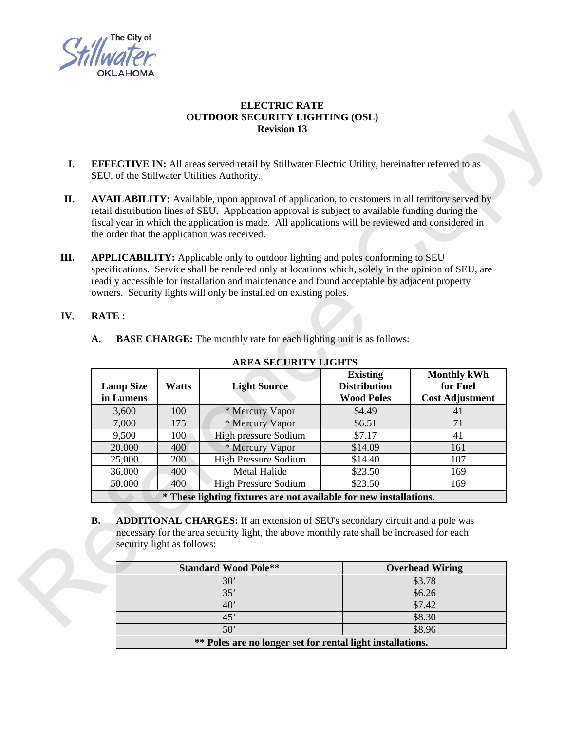

## **ELECTRIC RATE OUTDOOR SECURITY LIGHTING (OSL) Revision 13**

- **I. EFFECTIVE IN:** All areas served retail by Stillwater Electric Utility, hereinafter referred to as SEU, of the Stillwater Utilities Authority.
- **II. AVAILABILITY:** Available, upon approval of application, to customers in all territory served by retail distribution lines of SEU. Application approval is subject to available funding during the fiscal year in which the application is made. All applications will be reviewed and considered in the order that the application was received.
- **III. APPLICABILITY:** Applicable only to outdoor lighting and poles conforming to SEU specifications. Service shall be rendered only at locations which, solely in the opinion of SEU, are readily accessible for installation and maintenance and found acceptable by adjacent property owners. Security lights will only be installed on existing poles. For COSL)<br>
Utility, hereinafter referred to as<br>
Utility, hereinafter referred to as<br>
Utility, hereinafter referred to as<br>
It to available funding during the<br>
Will be reviewed and considered in<br>
Oles conforming to SEU<br>
Oles

## **IV. RATE :**

|     |                  |                                                                          | owners. Security lights will only be installed on existing poles.                                                                                                                 |                     |                        |  |
|-----|------------------|--------------------------------------------------------------------------|-----------------------------------------------------------------------------------------------------------------------------------------------------------------------------------|---------------------|------------------------|--|
| IV. | <b>RATE:</b>     |                                                                          |                                                                                                                                                                                   |                     |                        |  |
|     | A.               |                                                                          | <b>BASE CHARGE:</b> The monthly rate for each lighting unit is as follows:                                                                                                        |                     |                        |  |
|     |                  |                                                                          | <b>AREA SECURITY LIGHTS</b>                                                                                                                                                       |                     |                        |  |
|     |                  |                                                                          |                                                                                                                                                                                   | <b>Existing</b>     | <b>Monthly kWh</b>     |  |
|     | <b>Lamp Size</b> | <b>Watts</b>                                                             | <b>Light Source</b>                                                                                                                                                               | <b>Distribution</b> | for Fuel               |  |
|     | in Lumens        |                                                                          |                                                                                                                                                                                   | <b>Wood Poles</b>   | <b>Cost Adjustment</b> |  |
|     | 3,600            | 100                                                                      | * Mercury Vapor                                                                                                                                                                   | \$4.49              | 41                     |  |
|     | 7,000            | 175                                                                      | * Mercury Vapor                                                                                                                                                                   | \$6.51              | 71                     |  |
|     | 9,500            | 100                                                                      | High pressure Sodium                                                                                                                                                              | \$7.17              | 41                     |  |
|     | 20,000           | 400                                                                      | * Mercury Vapor                                                                                                                                                                   | \$14.09             | 161                    |  |
|     | 25,000           | 200                                                                      | <b>High Pressure Sodium</b>                                                                                                                                                       | \$14.40             | 107                    |  |
|     | 36,000           | 400                                                                      | <b>Metal Halide</b>                                                                                                                                                               | \$23.50             | 169                    |  |
|     | 50,000           | 400                                                                      | High Pressure Sodium                                                                                                                                                              | \$23.50             | 169                    |  |
|     |                  |                                                                          | * These lighting fixtures are not available for new installations.                                                                                                                |                     |                        |  |
|     | <b>B.</b>        | security light as follows:                                               | <b>ADDITIONAL CHARGES:</b> If an extension of SEU's secondary circuit and a pole was<br>necessary for the area security light, the above monthly rate shall be increased for each |                     |                        |  |
|     |                  | <b>Standard Wood Pole**</b><br>30'<br>35'<br>40'<br>45'<br>$\sim$ $\sim$ |                                                                                                                                                                                   |                     | <b>Overhead Wiring</b> |  |
|     |                  |                                                                          |                                                                                                                                                                                   |                     | \$3.78                 |  |
|     |                  |                                                                          |                                                                                                                                                                                   |                     | \$6.26                 |  |
|     |                  |                                                                          |                                                                                                                                                                                   |                     | \$7.42                 |  |
|     |                  |                                                                          |                                                                                                                                                                                   |                     | \$8.30                 |  |
|     |                  |                                                                          |                                                                                                                                                                                   |                     | 000<                   |  |

## **AREA SECURITY LIGHTS**

| <b>Standard Wood Pole**</b>                                | <b>Overhead Wiring</b> |  |  |  |
|------------------------------------------------------------|------------------------|--|--|--|
| $30^{\circ}$                                               | \$3.78                 |  |  |  |
| 35'                                                        | \$6.26                 |  |  |  |
| 40                                                         | \$7.42                 |  |  |  |
| 45'                                                        | \$8.30                 |  |  |  |
| $50^{\circ}$                                               | \$8.96                 |  |  |  |
| ** Poles are no longer set for rental light installations. |                        |  |  |  |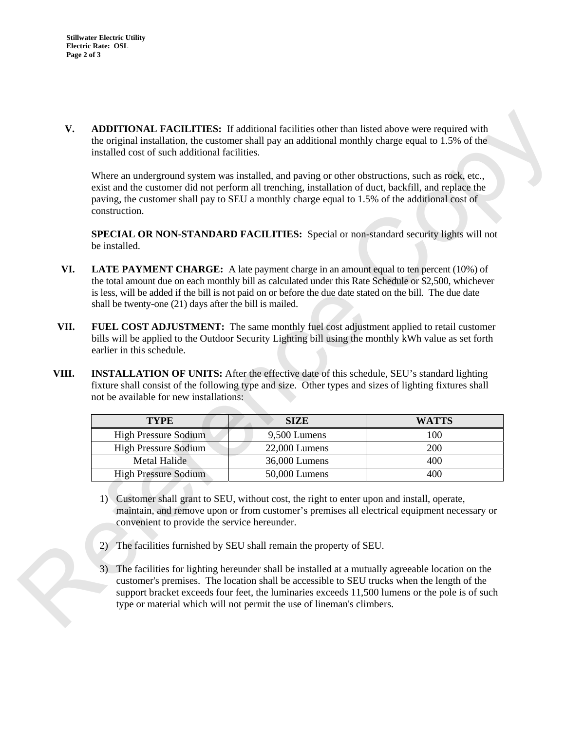**V. ADDITIONAL FACILITIES:** If additional facilities other than listed above were required with the original installation, the customer shall pay an additional monthly charge equal to 1.5% of the installed cost of such additional facilities.

Where an underground system was installed, and paving or other obstructions, such as rock, etc., exist and the customer did not perform all trenching, installation of duct, backfill, and replace the paving, the customer shall pay to SEU a monthly charge equal to 1.5% of the additional cost of construction. nan listed above were required with<br>onthly charge equal to 1.5% of the<br>er obstructions, such as rock, etc.,<br>n of duct, backfill, and replace the<br>to 1.5% of the additional cost of<br>r non-standard security lights will not<br>mou

**SPECIAL OR NON-STANDARD FACILITIES:** Special or non-standard security lights will not be installed.

- **VI. LATE PAYMENT CHARGE:** A late payment charge in an amount equal to ten percent (10%) of the total amount due on each monthly bill as calculated under this Rate Schedule or \$2,500, whichever is less, will be added if the bill is not paid on or before the due date stated on the bill. The due date shall be twenty-one (21) days after the bill is mailed.
- **VII. FUEL COST ADJUSTMENT:** The same monthly fuel cost adjustment applied to retail customer bills will be applied to the Outdoor Security Lighting bill using the monthly kWh value as set forth earlier in this schedule.
- **VIII. INSTALLATION OF UNITS:** After the effective date of this schedule, SEU's standard lighting fixture shall consist of the following type and size. Other types and sizes of lighting fixtures shall not be available for new installations:

|       | is less, will be added if the bill is not paid on or before the due date stated on the bill. The due date<br>shall be twenty-one (21) days after the bill is mailed.                                                                                                                                                                                                                                                                                                                                                                                                                                                                                                                                     |               |              |  |  |  |  |
|-------|----------------------------------------------------------------------------------------------------------------------------------------------------------------------------------------------------------------------------------------------------------------------------------------------------------------------------------------------------------------------------------------------------------------------------------------------------------------------------------------------------------------------------------------------------------------------------------------------------------------------------------------------------------------------------------------------------------|---------------|--------------|--|--|--|--|
| VII.  | <b>FUEL COST ADJUSTMENT:</b> The same monthly fuel cost adjustment applied to retail customer<br>bills will be applied to the Outdoor Security Lighting bill using the monthly kWh value as set forth<br>earlier in this schedule.                                                                                                                                                                                                                                                                                                                                                                                                                                                                       |               |              |  |  |  |  |
| VIII. | <b>INSTALLATION OF UNITS:</b> After the effective date of this schedule, SEU's standard lighting<br>fixture shall consist of the following type and size. Other types and sizes of lighting fixtures shall<br>not be available for new installations:                                                                                                                                                                                                                                                                                                                                                                                                                                                    |               |              |  |  |  |  |
|       | <b>TYPE</b>                                                                                                                                                                                                                                                                                                                                                                                                                                                                                                                                                                                                                                                                                              | <b>SIZE</b>   | <b>WATTS</b> |  |  |  |  |
|       | <b>High Pressure Sodium</b>                                                                                                                                                                                                                                                                                                                                                                                                                                                                                                                                                                                                                                                                              | 9,500 Lumens  | 100          |  |  |  |  |
|       | <b>High Pressure Sodium</b>                                                                                                                                                                                                                                                                                                                                                                                                                                                                                                                                                                                                                                                                              | 22,000 Lumens | 200          |  |  |  |  |
|       | <b>Metal Halide</b>                                                                                                                                                                                                                                                                                                                                                                                                                                                                                                                                                                                                                                                                                      | 36,000 Lumens | 400          |  |  |  |  |
|       | <b>High Pressure Sodium</b>                                                                                                                                                                                                                                                                                                                                                                                                                                                                                                                                                                                                                                                                              | 50,000 Lumens | 400          |  |  |  |  |
|       | 1) Customer shall grant to SEU, without cost, the right to enter upon and install, operate,<br>maintain, and remove upon or from customer's premises all electrical equipment necessary or<br>convenient to provide the service hereunder.<br>The facilities furnished by SEU shall remain the property of SEU.<br>2)<br>The facilities for lighting hereunder shall be installed at a mutually agreeable location on the<br>3)<br>customer's premises. The location shall be accessible to SEU trucks when the length of the<br>support bracket exceeds four feet, the luminaries exceeds 11,500 lumens or the pole is of such<br>type or material which will not permit the use of lineman's climbers. |               |              |  |  |  |  |

- 1) Customer shall grant to SEU, without cost, the right to enter upon and install, operate, maintain, and remove upon or from customer's premises all electrical equipment necessary or convenient to provide the service hereunder.
- 2) The facilities furnished by SEU shall remain the property of SEU.
- 3) The facilities for lighting hereunder shall be installed at a mutually agreeable location on the customer's premises. The location shall be accessible to SEU trucks when the length of the support bracket exceeds four feet, the luminaries exceeds 11,500 lumens or the pole is of such type or material which will not permit the use of lineman's climbers.